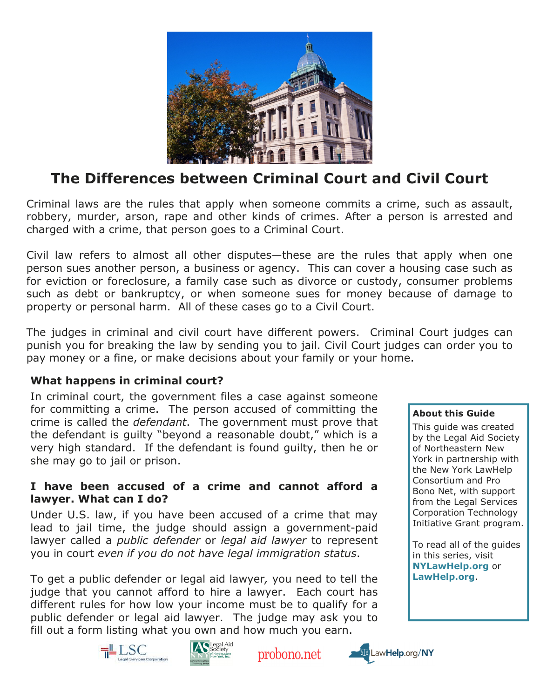

# The Differences between Criminal Court and Civil Court

Criminal laws are the rules that apply when someone commits a crime, such as assault, robbery, murder, arson, rape and other kinds of crimes. After a person is arrested and charged with a crime, that person goes to a Criminal Court.

Civil law refers to almost all other disputes—these are the rules that apply when one person sues another person, a business or agency. This can cover a housing case such as for eviction or foreclosure, a family case such as divorce or custody, consumer problems such as debt or bankruptcy, or when someone sues for money because of damage to property or personal harm. All of these cases go to a Civil Court.

The judges in criminal and civil court have different powers. Criminal Court judges can punish you for breaking the law by sending you to jail. Civil Court judges can order you to pay money or a fine, or make decisions about your family or your home.

### What happens in criminal court?

In criminal court, the government files a case against someone for committing a crime. The person accused of committing the crime is called the *defendant*. The government must prove that the defendant is guilty "beyond a reasonable doubt," which is a very high standard. If the defendant is found guilty, then he or she may go to jail or prison.

#### I have been accused of a crime and cannot afford a lawyer. What can I do?

Under U.S. law, if you have been accused of a crime that may lead to jail time, the judge should assign a government-paid lawyer called a *public defender* or *legal aid lawyer* to represent you in court even if you do not have legal immigration status.

To get a public defender or legal aid lawyer, you need to tell the judge that you cannot afford to hire a lawyer. Each court has different rules for how low your income must be to qualify for a public defender or legal aid lawyer. The judge may ask you to fill out a form listing what you own and how much you earn.

#### About this Guide

This guide was created by the Legal Aid Society of Northeastern New York in partnership with the New York LawHelp Consortium and Pro Bono Net, with support from the Legal Services Corporation Technology Initiative Grant program.

To read all of the guides in this series, visit NYLawHelp.org or LawHelp.org.





probono.net

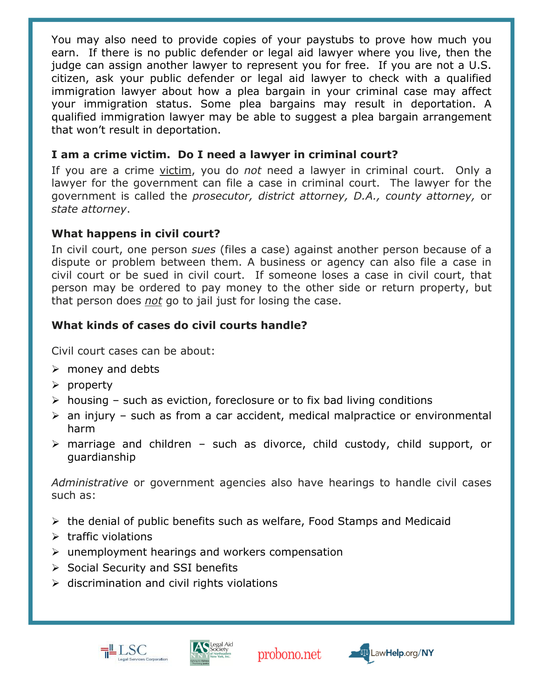You may also need to provide copies of your paystubs to prove how much you earn. If there is no public defender or legal aid lawyer where you live, then the judge can assign another lawyer to represent you for free. If you are not a U.S. citizen, ask your public defender or legal aid lawyer to check with a qualified immigration lawyer about how a plea bargain in your criminal case may affect your immigration status. Some plea bargains may result in deportation. A qualified immigration lawyer may be able to suggest a plea bargain arrangement that won't result in deportation.

### I am a crime victim. Do I need a lawyer in criminal court?

If you are a crime victim, you do not need a lawyer in criminal court. Only a lawyer for the government can file a case in criminal court. The lawyer for the government is called the prosecutor, district attorney, D.A., county attorney, or state attorney.

## What happens in civil court?

In civil court, one person sues (files a case) against another person because of a dispute or problem between them. A business or agency can also file a case in civil court or be sued in civil court. If someone loses a case in civil court, that person may be ordered to pay money to the other side or return property, but that person does not go to jail just for losing the case.

# What kinds of cases do civil courts handle?

Civil court cases can be about:

- $\triangleright$  money and debts
- $\triangleright$  property
- $\triangleright$  housing such as eviction, foreclosure or to fix bad living conditions
- $\triangleright$  an injury such as from a car accident, medical malpractice or environmental harm
- $\triangleright$  marriage and children such as divorce, child custody, child support, or guardianship

Administrative or government agencies also have hearings to handle civil cases such as:

- $\triangleright$  the denial of public benefits such as welfare, Food Stamps and Medicaid
- $\triangleright$  traffic violations
- $\triangleright$  unemployment hearings and workers compensation
- $\triangleright$  Social Security and SSI benefits
- $\triangleright$  discrimination and civil rights violations





probono.net

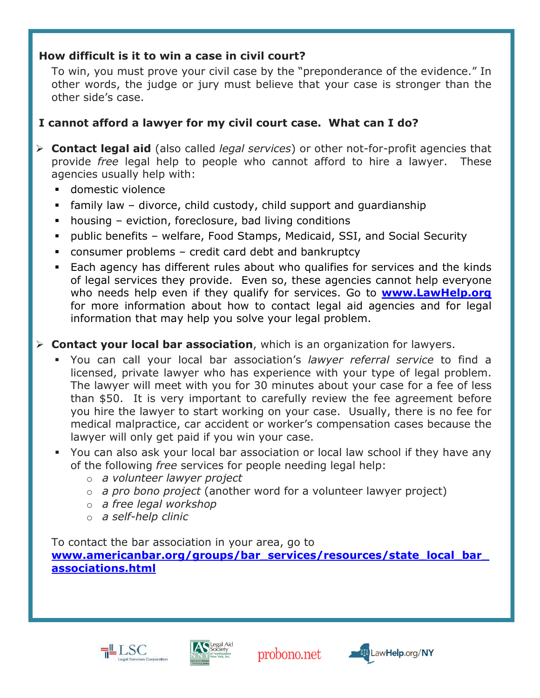### How difficult is it to win a case in civil court?

To win, you must prove your civil case by the "preponderance of the evidence." In other words, the judge or jury must believe that your case is stronger than the other side's case.

# I cannot afford a lawyer for my civil court case. What can I do?

- $\triangleright$  **Contact legal aid** (also called *legal services*) or other not-for-profit agencies that provide free legal help to people who cannot afford to hire a lawyer. These agencies usually help with:
	- domestic violence

Ĩ

- family law – divorce, child custody, child support and guardianship
- housing – eviction, foreclosure, bad living conditions
- public benefits – welfare, Food Stamps, Medicaid, SSI, and Social Security
- consumer problems credit card debt and bankruptcy
- - Each agency has different rules about who qualifies for services and the kinds of legal services they provide. Even so, these agencies cannot help everyone who needs help even if they qualify for services. Go to **www.LawHelp.org** for more information about how to contact legal aid agencies and for legal information that may help you solve your legal problem.

# $\triangleright$  Contact your local bar association, which is an organization for lawyers.

- Tou can call your local bar association's lawyer referral service to find a licensed, private lawyer who has experience with your type of legal problem. The lawyer will meet with you for 30 minutes about your case for a fee of less than \$50. It is very important to carefully review the fee agreement before you hire the lawyer to start working on your case. Usually, there is no fee for medical malpractice, car accident or worker's compensation cases because the lawyer will only get paid if you win your case.
- You can also ask your local bar association or local law school if they have any of the following free services for people needing legal help:
	- o a volunteer lawyer project
	- $\circ$  a pro bono project (another word for a volunteer lawyer project)
	- o a free legal workshop
	- o a self-help clinic

To contact the bar association in your area, go to www.americanbar.org/groups/bar\_services/resources/state\_local\_bar associations.html





probono.net